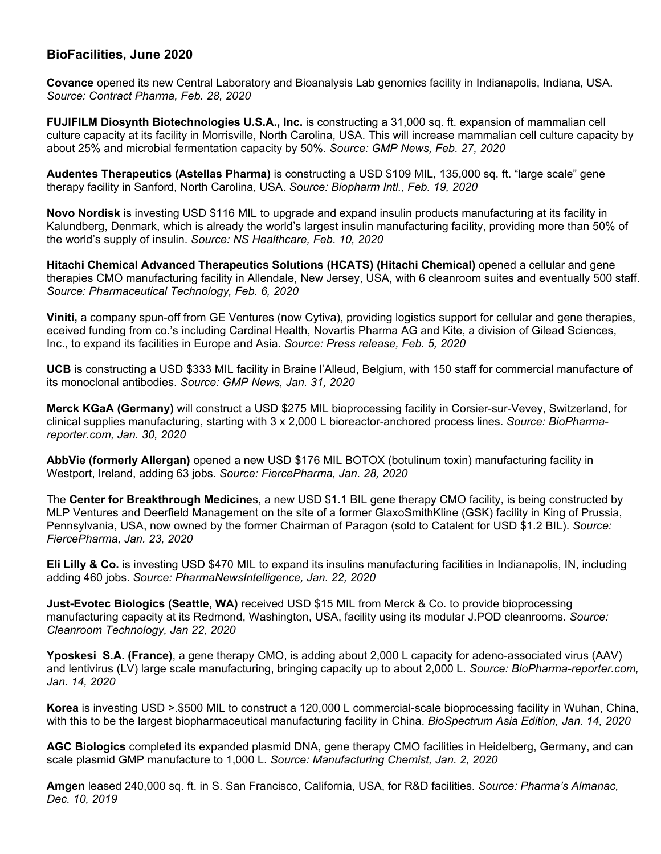## **BioFacilities, June 2020**

**Covance** opened its new Central Laboratory and Bioanalysis Lab genomics facility in Indianapolis, Indiana, USA. *Source: Contract Pharma, Feb. 28, 2020* 

**FUJIFILM Diosynth Biotechnologies U.S.A., Inc.** is constructing a 31,000 sq. ft. expansion of mammalian cell culture capacity at its facility in Morrisville, North Carolina, USA. This will increase mammalian cell culture capacity by about 25% and microbial fermentation capacity by 50%. *Source: GMP News, Feb. 27, 2020*

**Audentes Therapeutics (Astellas Pharma)** is constructing a USD \$109 MIL, 135,000 sq. ft. "large scale" gene therapy facility in Sanford, North Carolina, USA. *Source: Biopharm Intl., Feb. 19, 2020*

**Novo Nordisk** is investing USD \$116 MIL to upgrade and expand insulin products manufacturing at its facility in Kalundberg, Denmark, which is already the world's largest insulin manufacturing facility, providing more than 50% of the world's supply of insulin. *Source: NS Healthcare, Feb. 10, 2020*

**Hitachi Chemical Advanced Therapeutics Solutions (HCATS) (Hitachi Chemical)** opened a cellular and gene therapies CMO manufacturing facility in Allendale, New Jersey, USA, with 6 cleanroom suites and eventually 500 staff. *Source: Pharmaceutical Technology, Feb. 6, 2020*

**Viniti,** a company spun-off from GE Ventures (now Cytiva), providing logistics support for cellular and gene therapies, eceived funding from co.'s including Cardinal Health, Novartis Pharma AG and Kite, a division of Gilead Sciences, Inc., to expand its facilities in Europe and Asia. *Source: Press release, Feb. 5, 2020*

**UCB** is constructing a USD \$333 MIL facility in Braine l'Alleud, Belgium, with 150 staff for commercial manufacture of its monoclonal antibodies. *Source: GMP News, Jan. 31, 2020*

**Merck KGaA (Germany)** will construct a USD \$275 MIL bioprocessing facility in Corsier-sur-Vevey, Switzerland, for clinical supplies manufacturing, starting with 3 x 2,000 L bioreactor-anchored process lines. *Source: BioPharmareporter.com, Jan. 30, 2020*

**AbbVie (formerly Allergan)** opened a new USD \$176 MIL BOTOX (botulinum toxin) manufacturing facility in Westport, Ireland, adding 63 jobs. *Source: FiercePharma, Jan. 28, 2020*

The **Center for Breakthrough Medicine**s, a new USD \$1.1 BIL gene therapy CMO facility, is being constructed by MLP Ventures and Deerfield Management on the site of a former GlaxoSmithKline (GSK) facility in King of Prussia, Pennsylvania, USA, now owned by the former Chairman of Paragon (sold to Catalent for USD \$1.2 BIL). *Source: FiercePharma, Jan. 23, 2020*

**Eli Lilly & Co.** is investing USD \$470 MIL to expand its insulins manufacturing facilities in Indianapolis, IN, including adding 460 jobs. *Source: PharmaNewsIntelligence, Jan. 22, 2020* 

**Just-Evotec Biologics (Seattle, WA)** received USD \$15 MIL from Merck & Co. to provide bioprocessing manufacturing capacity at its Redmond, Washington, USA, facility using its modular J.POD cleanrooms. *Source: Cleanroom Technology, Jan 22, 2020* 

**Yposkesi S.A. (France)**, a gene therapy CMO, is adding about 2,000 L capacity for adeno-associated virus (AAV) and lentivirus (LV) large scale manufacturing, bringing capacity up to about 2,000 L. *Source: BioPharma-reporter.com, Jan. 14, 2020*

**Korea** is investing USD >.\$500 MIL to construct a 120,000 L commercial-scale bioprocessing facility in Wuhan, China, with this to be the largest biopharmaceutical manufacturing facility in China. *BioSpectrum Asia Edition, Jan. 14, 2020*

**AGC Biologics** completed its expanded plasmid DNA, gene therapy CMO facilities in Heidelberg, Germany, and can scale plasmid GMP manufacture to 1,000 L. *Source: Manufacturing Chemist, Jan. 2, 2020* 

**Amgen** leased 240,000 sq. ft. in S. San Francisco, California, USA, for R&D facilities. *Source: Pharma's Almanac, Dec. 10, 2019*